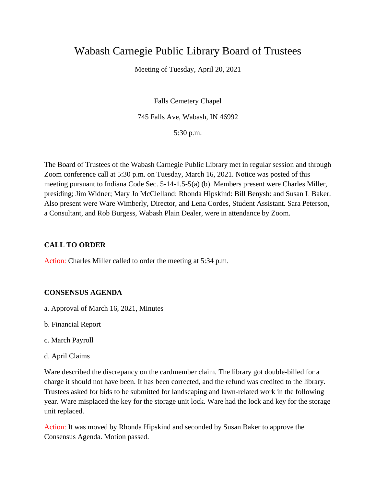# Wabash Carnegie Public Library Board of Trustees

Meeting of Tuesday, April 20, 2021

Falls Cemetery Chapel 745 Falls Ave, Wabash, IN 46992

5:30 p.m.

The Board of Trustees of the Wabash Carnegie Public Library met in regular session and through Zoom conference call at 5:30 p.m. on Tuesday, March 16, 2021. Notice was posted of this meeting pursuant to Indiana Code Sec. 5-14-1.5-5(a) (b). Members present were Charles Miller, presiding; Jim Widner; Mary Jo McClelland: Rhonda Hipskind: Bill Benysh: and Susan L Baker. Also present were Ware Wimberly, Director, and Lena Cordes, Student Assistant. Sara Peterson, a Consultant, and Rob Burgess, Wabash Plain Dealer, were in attendance by Zoom.

# **CALL TO ORDER**

Action: Charles Miller called to order the meeting at 5:34 p.m.

# **CONSENSUS AGENDA**

- a. Approval of March 16, 2021, Minutes
- b. Financial Report
- c. March Payroll
- d. April Claims

Ware described the discrepancy on the cardmember claim. The library got double-billed for a charge it should not have been. It has been corrected, and the refund was credited to the library. Trustees asked for bids to be submitted for landscaping and lawn-related work in the following year. Ware misplaced the key for the storage unit lock. Ware had the lock and key for the storage unit replaced.

Action: It was moved by Rhonda Hipskind and seconded by Susan Baker to approve the Consensus Agenda. Motion passed.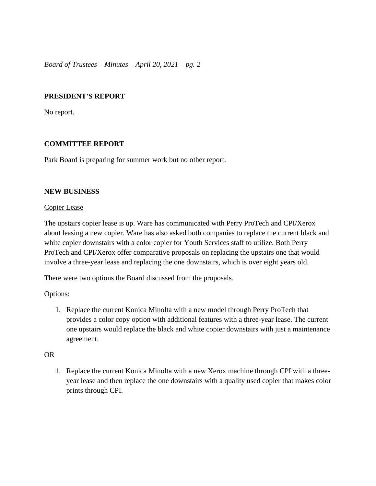# **PRESIDENT'S REPORT**

No report.

# **COMMITTEE REPORT**

Park Board is preparing for summer work but no other report.

#### **NEW BUSINESS**

#### Copier Lease

The upstairs copier lease is up. Ware has communicated with Perry ProTech and CPI/Xerox about leasing a new copier. Ware has also asked both companies to replace the current black and white copier downstairs with a color copier for Youth Services staff to utilize. Both Perry ProTech and CPI/Xerox offer comparative proposals on replacing the upstairs one that would involve a three-year lease and replacing the one downstairs, which is over eight years old.

There were two options the Board discussed from the proposals.

Options:

1. Replace the current Konica Minolta with a new model through Perry ProTech that provides a color copy option with additional features with a three-year lease. The current one upstairs would replace the black and white copier downstairs with just a maintenance agreement.

# OR

1. Replace the current Konica Minolta with a new Xerox machine through CPI with a threeyear lease and then replace the one downstairs with a quality used copier that makes color prints through CPI.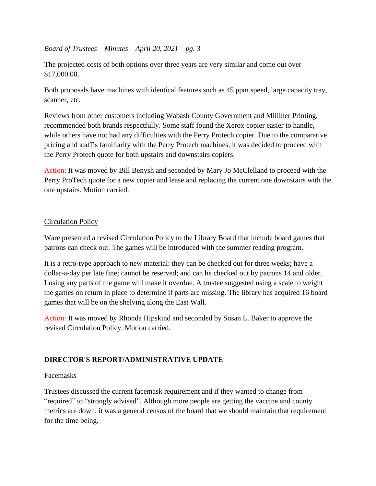The projected costs of both options over three years are very similar and come out over \$17,000.00.

Both proposals have machines with identical features such as 45 ppm speed, large capacity tray, scanner, etc.

Reviews from other customers including Wabash County Government and Milliner Printing, recommended both brands respectfully. Some staff found the Xerox copier easier to handle, while others have not had any difficulties with the Perry Protech copier. Due to the comparative pricing and staff's familiarity with the Perry Protech machines, it was decided to proceed with the Perry Protech quote for both upstairs and downstairs copiers.

Action: It was moved by Bill Benysh and seconded by Mary Jo McClelland to proceed with the Perry ProTech quote for a new copier and lease and replacing the current one downstairs with the one upstairs. Motion carried.

# Circulation Policy

Ware presented a revised Circulation Policy to the Library Board that include board games that patrons can check out. The games will be introduced with the summer reading program.

It is a retro-type approach to new material: they can be checked out for three weeks; have a dollar-a-day per late fine; cannot be reserved; and can be checked out by patrons 14 and older. Losing any parts of the game will make it overdue. A trustee suggested using a scale to weight the games on return in place to determine if parts are missing. The library has acquired 16 board games that will be on the shelving along the East Wall.

Action: It was moved by Rhonda Hipskind and seconded by Susan L. Baker to approve the revised Circulation Policy. Motion carried.

# **DIRECTOR'S REPORT/ADMINISTRATIVE UPDATE**

#### Facemasks

Trustees discussed the current facemask requirement and if they wanted to change from "required" to "strongly advised". Although more people are getting the vaccine and county metrics are down, it was a general census of the board that we should maintain that requirement for the time being.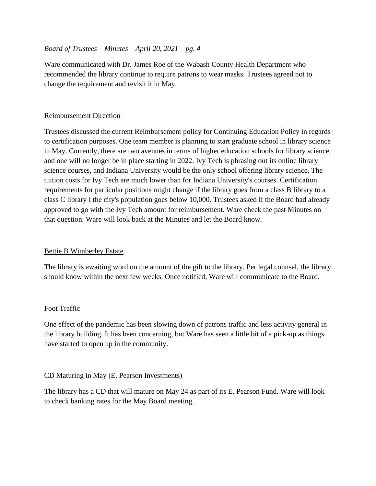Ware communicated with Dr. James Roe of the Wabash County Health Department who recommended the library continue to require patrons to wear masks. Trustees agreed not to change the requirement and revisit it in May.

### Reimbursement Direction

Trustees discussed the current Reimbursement policy for Continuing Education Policy in regards to certification purposes. One team member is planning to start graduate school in library science in May. Currently, there are two avenues in terms of higher education schools for library science, and one will no longer be in place starting in 2022. Ivy Tech is phrasing out its online library science courses, and Indiana University would be the only school offering library science. The tuition costs for Ivy Tech are much lower than for Indiana University's courses. Certification requirements for particular positions might change if the library goes from a class B library to a class C library I the city's population goes below 10,000. Trustees asked if the Board had already approved to go with the Ivy Tech amount for reimbursement. Ware check the past Minutes on that question. Ware will look back at the Minutes and let the Board know.

#### Bettie B Wimberley Estate

The library is awaiting word on the amount of the gift to the library. Per legal counsel, the library should know within the next few weeks. Once notified, Ware will communicate to the Board.

# Foot Traffic

One effect of the pandemic has been slowing down of patrons traffic and less activity general in the library building. It has been concerning, but Ware has seen a little bit of a pick-up as things have started to open up in the community.

# CD Maturing in May (E. Pearson Investments)

The library has a CD that will mature on May 24 as part of its E. Pearson Fund. Ware will look to check banking rates for the May Board meeting.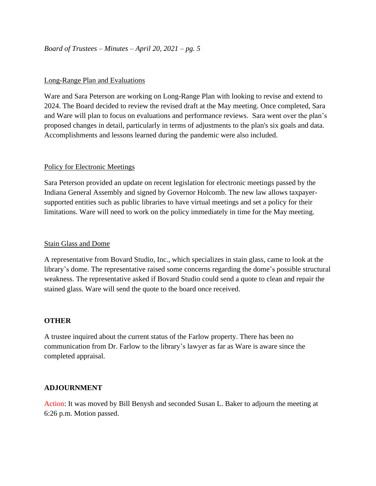#### Long-Range Plan and Evaluations

Ware and Sara Peterson are working on Long-Range Plan with looking to revise and extend to 2024. The Board decided to review the revised draft at the May meeting. Once completed, Sara and Ware will plan to focus on evaluations and performance reviews. Sara went over the plan's proposed changes in detail, particularly in terms of adjustments to the plan's six goals and data. Accomplishments and lessons learned during the pandemic were also included.

#### Policy for Electronic Meetings

Sara Peterson provided an update on recent legislation for electronic meetings passed by the Indiana General Assembly and signed by Governor Holcomb. The new law allows taxpayersupported entities such as public libraries to have virtual meetings and set a policy for their limitations. Ware will need to work on the policy immediately in time for the May meeting.

#### Stain Glass and Dome

A representative from Bovard Studio, Inc., which specializes in stain glass, came to look at the library's dome. The representative raised some concerns regarding the dome's possible structural weakness. The representative asked if Bovard Studio could send a quote to clean and repair the stained glass. Ware will send the quote to the board once received.

#### **OTHER**

A trustee inquired about the current status of the Farlow property. There has been no communication from Dr. Farlow to the library's lawyer as far as Ware is aware since the completed appraisal.

#### **ADJOURNMENT**

Action: It was moved by Bill Benysh and seconded Susan L. Baker to adjourn the meeting at 6:26 p.m. Motion passed.